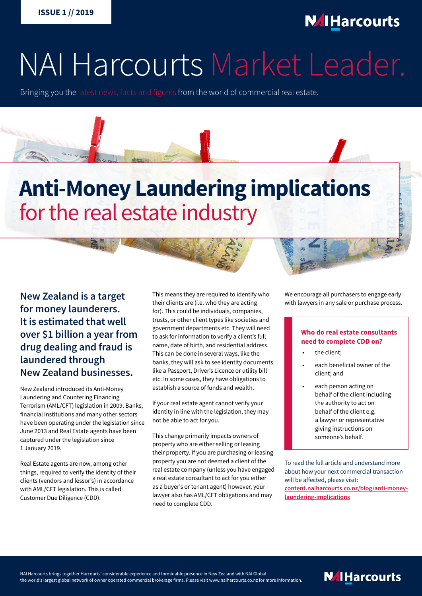

# NAI Harcourts Market Leader.

Bringing you the latest news, facts and figures from the world of commercial real estate.

# **Anti-Money Laundering implications** for the real estate industry

**New Zealand is a target for money launderers. It is estimated that well over \$1 billion a year from drug dealing and fraud is laundered through New Zealand businesses.**

New Zealand introduced its Anti-Money Laundering and Countering Financing Terrorism (AML/CFT) legislation in 2009. Banks, financial institutions and many other sectors have been operating under the legislation since June 2013 and Real Estate agents have been captured under the legislation since 1 January 2019.

Real Estate agents are now, among other things, required to verify the identity of their clients (vendors and lessor's) in accordance with AML/CFT legislation. This is called Customer Due Diligence (CDD).

This means they are required to identify who their clients are (i.e. who they are acting for). This could be individuals, companies, trusts, or other client types like societies and government departments etc. They will need to ask for information to verify a client's full name, date of birth, and residential address. This can be done in several ways, like the banks, they will ask to see identity documents like a Passport, Driver's Licence or utility bill etc. In some cases, they have obligations to establish a source of funds and wealth.

If your real estate agent cannot verify your identity in line with the legislation, they may not be able to act for you.

This change primarily impacts owners of property who are either selling or leasing their property. If you are purchasing or leasing property you are not deemed a client of the real estate company (unless you have engaged a real estate consultant to act for you either as a buyer's or tenant agent) however, your lawyer also has AML/CFT obligations and may need to complete CDD.

We encourage all purchasers to engage early with lawyers in any sale or purchase process.

#### **Who do real estate consultants need to complete CDD on?**

- the client:
- each beneficial owner of the client; and
- each person acting on behalf of the client including the authority to act on behalf of the client e.g. a lawyer or representative giving instructions on someone's behalf.

To read the full article and understand more about how your next commercial transaction will be affected, please visit: **[content.naiharcourts.co.nz/blog/anti-money](https://content.naiharcourts.co.nz/blog/anti-money-laundering-implications)[laundering-implications](https://content.naiharcourts.co.nz/blog/anti-money-laundering-implications)**

NAI Harcourts brings together Harcourts' considerable experience and formidable presence in New Zealand with NAI Global, the world's largest global network of owner operated commercial brokerage firms. Please visit www.naiharcourts.co.nz for more information.